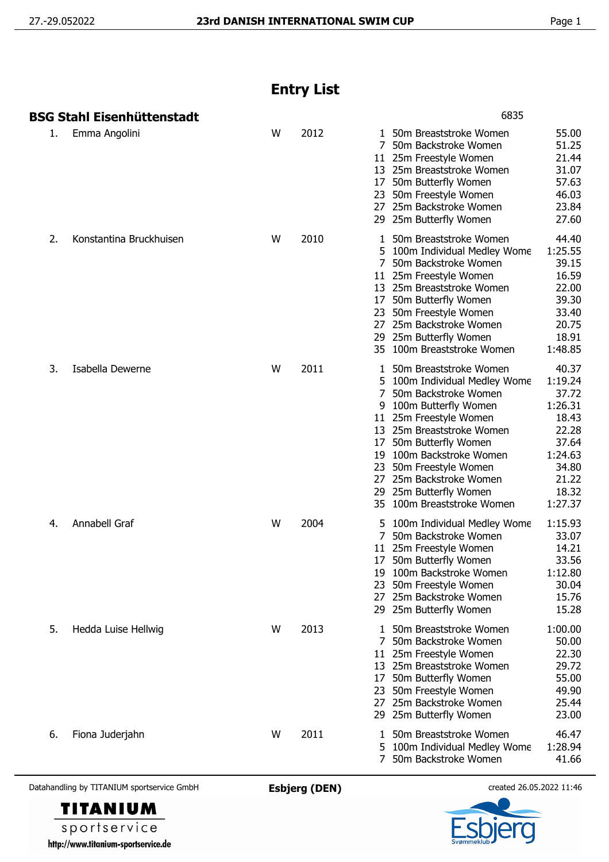## **Entry List**

|    | BSG Stahl Eisenhüttenstadt |   |      | 6835                                                                                                                                                                                                                                                                                                                                                         |                                                                                                                  |
|----|----------------------------|---|------|--------------------------------------------------------------------------------------------------------------------------------------------------------------------------------------------------------------------------------------------------------------------------------------------------------------------------------------------------------------|------------------------------------------------------------------------------------------------------------------|
| 1. | Emma Angolini              | W | 2012 | 1 50m Breaststroke Women<br>7<br>50m Backstroke Women<br>11 25m Freestyle Women<br>13 25m Breaststroke Women<br>50m Butterfly Women<br>17<br>50m Freestyle Women<br>23<br>25m Backstroke Women<br>27<br>29 25m Butterfly Women                                                                                                                               | 55.00<br>51.25<br>21.44<br>31.07<br>57.63<br>46.03<br>23.84<br>27.60                                             |
| 2. | Konstantina Bruckhuisen    | W | 2010 | 50m Breaststroke Women<br>1<br>100m Individual Medley Wome<br>5<br>50m Backstroke Women<br>11 25m Freestyle Women<br>13 25m Breaststroke Women<br>50m Butterfly Women<br>17<br>50m Freestyle Women<br>23<br>25m Backstroke Women<br>27<br>25m Butterfly Women<br>29<br>100m Breaststroke Women<br>35                                                         | 44.40<br>1:25.55<br>39.15<br>16.59<br>22.00<br>39.30<br>33.40<br>20.75<br>18.91<br>1:48.85                       |
| 3. | Isabella Dewerne           | W | 2011 | 50m Breaststroke Women<br>1<br>5 100m Individual Medley Wome<br>7<br>50m Backstroke Women<br>100m Butterfly Women<br>9<br>11 25m Freestyle Women<br>13 25m Breaststroke Women<br>50m Butterfly Women<br>17<br>19 100m Backstroke Women<br>50m Freestyle Women<br>23<br>25m Backstroke Women<br>27<br>25m Butterfly Women<br>29<br>35 100m Breaststroke Women | 40.37<br>1:19.24<br>37.72<br>1:26.31<br>18.43<br>22.28<br>37.64<br>1:24.63<br>34.80<br>21.22<br>18.32<br>1:27.37 |
| 4. | Annabell Graf              | W | 2004 | 5 100m Individual Medley Wome<br>7<br>50m Backstroke Women<br>25m Freestyle Women<br>11<br>50m Butterfly Women<br>17<br>19 100m Backstroke Women<br>23<br>50m Freestyle Women<br>25m Backstroke Women<br>27<br>29 25m Butterfly Women                                                                                                                        | 1:15.93<br>33.07<br>14.21<br>33.56<br>1:12.80<br>30.04<br>15.76<br>15.28                                         |
| 5. | Hedda Luise Hellwig        | W | 2013 | 50m Breaststroke Women<br>$\mathbf{1}$<br>7 50m Backstroke Women<br>25m Freestyle Women<br>11<br>13 25m Breaststroke Women<br>50m Butterfly Women<br>17<br>50m Freestyle Women<br>23<br>25m Backstroke Women<br>27<br>29 25m Butterfly Women                                                                                                                 | 1:00.00<br>50.00<br>22.30<br>29.72<br>55.00<br>49.90<br>25.44<br>23.00                                           |
| 6. | Fiona Juderjahn            | W | 2011 | 50m Breaststroke Women<br>1<br>5 100m Individual Medley Wome<br>50m Backstroke Women<br>7                                                                                                                                                                                                                                                                    | 46.47<br>1:28.94<br>41.66                                                                                        |

Datahandling by TITANIUM sportservice GmbH **Esbjerg (DEN)** created 26.05.2022 11:46



sportservice http://www.titanium-sportservice.de

**TITANIUM**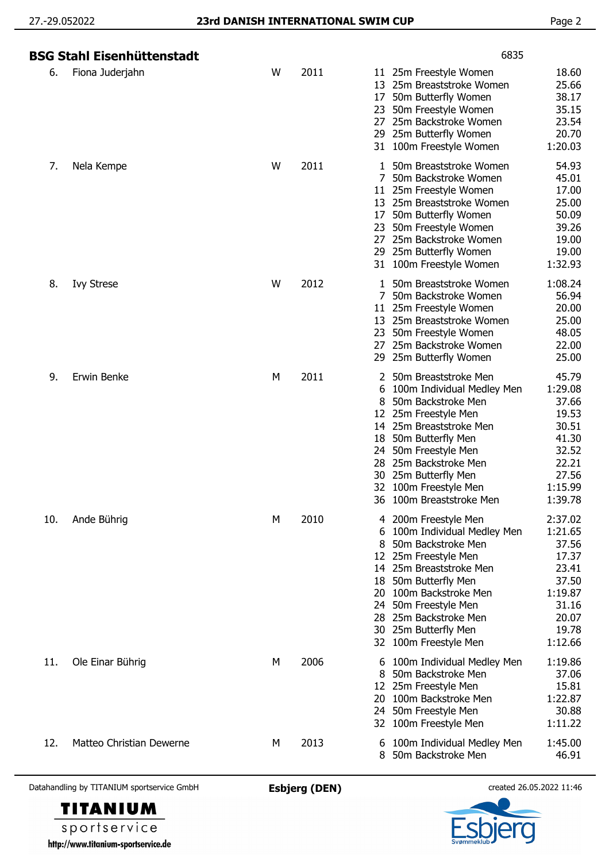|     | <b>BSG Stahl Eisenhüttenstadt</b> |   |      | 6835                                                                                                                                                                                                                                                                                                                                                                                                                           |
|-----|-----------------------------------|---|------|--------------------------------------------------------------------------------------------------------------------------------------------------------------------------------------------------------------------------------------------------------------------------------------------------------------------------------------------------------------------------------------------------------------------------------|
| 6.  | Fiona Juderjahn                   | W | 2011 | 18.60<br>11 25m Freestyle Women<br>25.66<br>13<br>25m Breaststroke Women<br>38.17<br>50m Butterfly Women<br>17<br>35.15<br>50m Freestyle Women<br>23<br>23.54<br>25m Backstroke Women<br>27<br>20.70<br>25m Butterfly Women<br>29<br>1:20.03<br>31 100m Freestyle Women                                                                                                                                                        |
| 7.  | Nela Kempe                        | W | 2011 | 54.93<br>50m Breaststroke Women<br>1<br>7<br>50m Backstroke Women<br>45.01<br>17.00<br>25m Freestyle Women<br>11<br>25.00<br>25m Breaststroke Women<br>13<br>50.09<br>50m Butterfly Women<br>17<br>39.26<br>50m Freestyle Women<br>23<br>19.00<br>25m Backstroke Women<br>27<br>19.00<br>25m Butterfly Women<br>29<br>1:32.93<br>31 100m Freestyle Women                                                                       |
| 8.  | <b>Ivy Strese</b>                 | W | 2012 | 1:08.24<br>50m Breaststroke Women<br>1<br>56.94<br>50m Backstroke Women<br>7<br>20.00<br>25m Freestyle Women<br>11<br>25.00<br>13 25m Breaststroke Women<br>48.05<br>50m Freestyle Women<br>23<br>25m Backstroke Women<br>22.00<br>27<br>25.00<br>29 25m Butterfly Women                                                                                                                                                       |
| 9.  | Erwin Benke                       | М | 2011 | 50m Breaststroke Men<br>45.79<br>2<br>1:29.08<br>6<br>100m Individual Medley Men<br>37.66<br>8<br>50m Backstroke Men<br>19.53<br>25m Freestyle Men<br>12<br>30.51<br>14 25m Breaststroke Men<br>41.30<br>50m Butterfly Men<br>18<br>32.52<br>50m Freestyle Men<br>24<br>22.21<br>25m Backstroke Men<br>28<br>25m Butterfly Men<br>27.56<br>30<br>100m Freestyle Men<br>1:15.99<br>32<br>1:39.78<br>36<br>100m Breaststroke Men |
| 10. | Ande Bührig                       | М | 2010 | 2:37.02<br>200m Freestyle Men<br>4<br>100m Individual Medley Men<br>1:21.65<br>6<br>37.56<br>50m Backstroke Men<br>8<br>12 25m Freestyle Men<br>17.37<br>25m Breaststroke Men<br>23.41<br>14<br>37.50<br>50m Butterfly Men<br>18<br>1:19.87<br>100m Backstroke Men<br>20<br>31.16<br>50m Freestyle Men<br>24<br>20.07<br>25m Backstroke Men<br>28<br>30 25m Butterfly Men<br>19.78<br>1:12.66<br>32 100m Freestyle Men         |
| 11. | Ole Einar Bührig                  | М | 2006 | 1:19.86<br>100m Individual Medley Men<br>6<br>50m Backstroke Men<br>37.06<br>8<br>25m Freestyle Men<br>15.81<br>12<br>1:22.87<br>20<br>100m Backstroke Men<br>50m Freestyle Men<br>30.88<br>24<br>1:11.22<br>100m Freestyle Men<br>32                                                                                                                                                                                          |
| 12. | Matteo Christian Dewerne          | M | 2013 | 1:45.00<br>100m Individual Medley Men<br>6<br>50m Backstroke Men<br>46.91<br>8                                                                                                                                                                                                                                                                                                                                                 |

Datahandling by TITANIUM sportservice GmbH **Esbjerg (DEN)** created 26.05.2022 11:46

**TITANIUM** sportservice http://www.titanium-sportservice.de